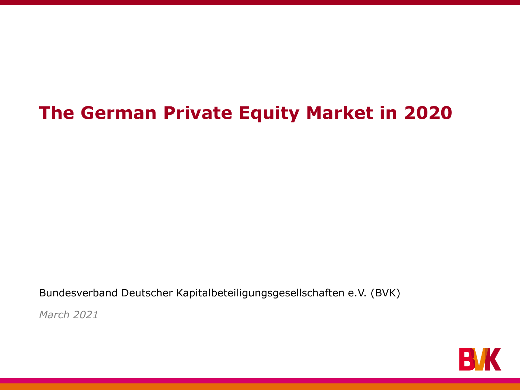# **The German Private Equity Market in 2020**

Bundesverband Deutscher Kapitalbeteiligungsgesellschaften e.V. (BVK)

*March 2021*

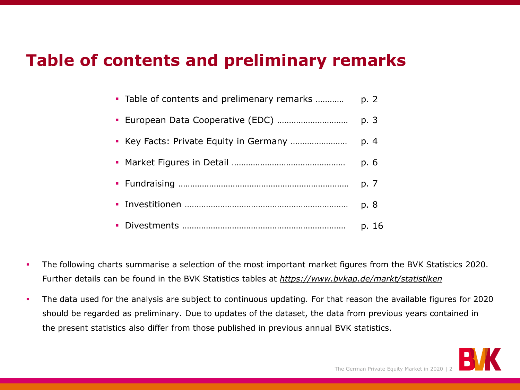# **Table of contents and preliminary remarks**

| • Table of contents and prelimenary remarks | p. 2  |
|---------------------------------------------|-------|
|                                             | p. 3  |
|                                             | p. 4  |
|                                             | p. 6  |
|                                             | p. 7  |
|                                             | p. 8  |
|                                             | p. 16 |

- The following charts summarise a selection of the most important market figures from the BVK Statistics 2020. Further details can be found in the BVK Statistics tables at *<https://www.bvkap.de/markt/statistiken>*
- The data used for the analysis are subject to continuous updating. For that reason the available figures for 2020 should be regarded as preliminary. Due to updates of the dataset, the data from previous years contained in the present statistics also differ from those published in previous annual BVK statistics.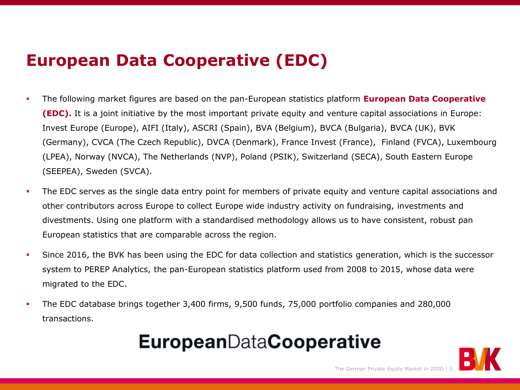# **European Data Cooperative (EDC)**

- The following market figures are based on the pan-European statistics platform **European Data Cooperative (EDC).** It is a joint initiative by the most important private equity and venture capital associations in Europe: Invest Europe (Europe), AIFI (Italy), ASCRI (Spain), BVA (Belgium), BVCA (Bulgaria), BVCA (UK), BVK (Germany), CVCA (The Czech Republic), DVCA (Denmark), France Invest (France), Finland (FVCA), Luxembourg (LPEA), Norway (NVCA), The Netherlands (NVP), Poland (PSIK), Switzerland (SECA), South Eastern Europe (SEEPEA), Sweden (SVCA).
- The EDC serves as the single data entry point for members of private equity and venture capital associations and other contributors across Europe to collect Europe wide industry activity on fundraising, investments and divestments. Using one platform with a standardised methodology allows us to have consistent, robust pan European statistics that are comparable across the region.
- Since 2016, the BVK has been using the EDC for data collection and statistics generation, which is the successor system to PEREP Analytics, the pan-European statistics platform used from 2008 to 2015, whose data were migrated to the EDC.
- The EDC database brings together 3,400 firms, 9,500 funds, 75,000 portfolio companies and 280,000 transactions.

# **EuropeanDataCooperative**

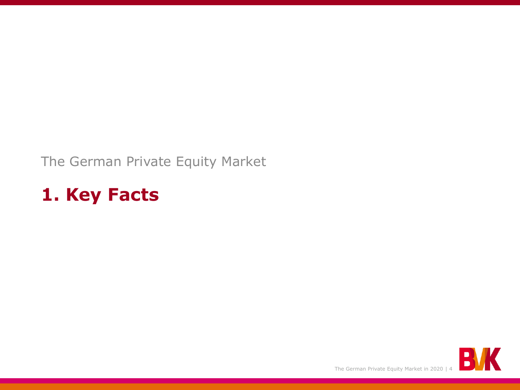## The German Private Equity Market

# **1. Key Facts**

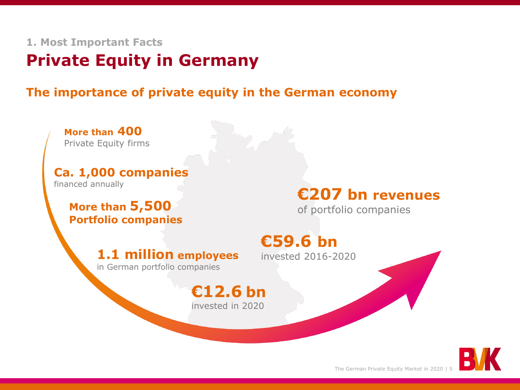#### **1. Most Important Facts**

## **Private Equity in Germany**

**The importance of private equity in the German economy** 

**More than 400**  Private Equity firms

**Ca. 1,000 companies** financed annually

### **More than 5,500 Portfolio companies**

**€207 bn revenues**

of portfolio companies

### **1.1 million employees** in German portfolio companies

**€12.6 bn**

invested in 2020

# **€59.6 bn**

invested 2016-2020

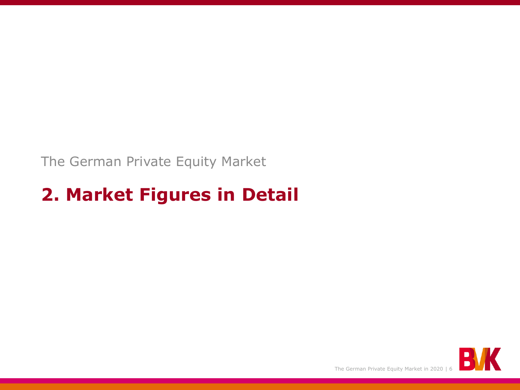The German Private Equity Market

# **2. Market Figures in Detail**

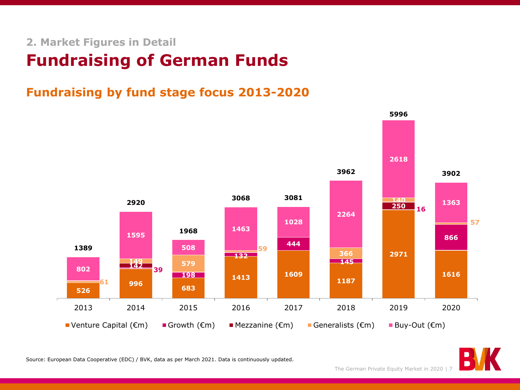# **Fundraising of German Funds**

### **Fundraising by fund stage focus 2013-2020**



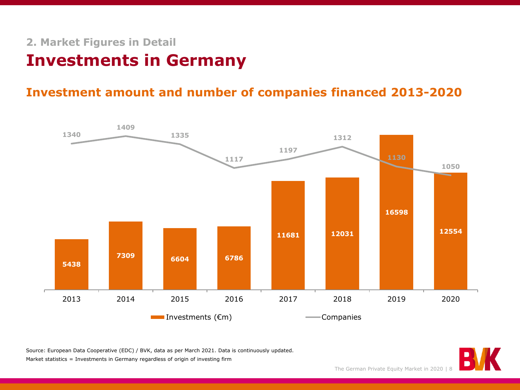## **Investments in Germany**

### **Investment amount and number of companies financed 2013-2020**



Source: European Data Cooperative (EDC) / BVK, data as per March 2021. Data is continuously updated.

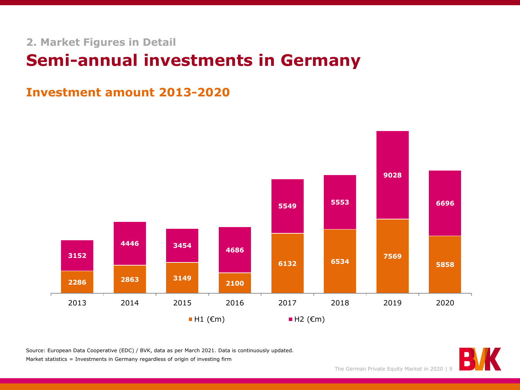# **Semi-annual investments in Germany**

### **Investment amount 2013-2020**



Source: European Data Cooperative (EDC) / BVK, data as per March 2021. Data is continuously updated.

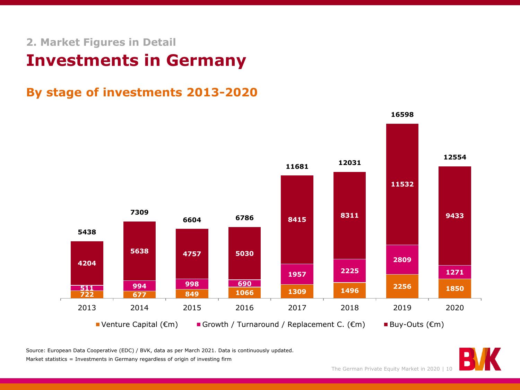## **Investments in Germany**

### **By stage of investments 2013-2020**



Source: European Data Cooperative (EDC) / BVK, data as per March 2021. Data is continuously updated.

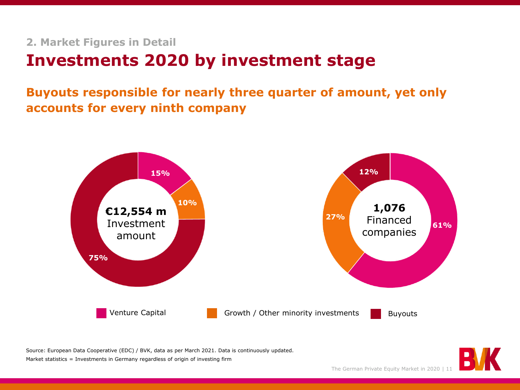## **Investments 2020 by investment stage**

**Buyouts responsible for nearly three quarter of amount, yet only accounts for every ninth company**



Source: European Data Cooperative (EDC) / BVK, data as per March 2021. Data is continuously updated. Market statistics = Investments in Germany regardless of origin of investing firm

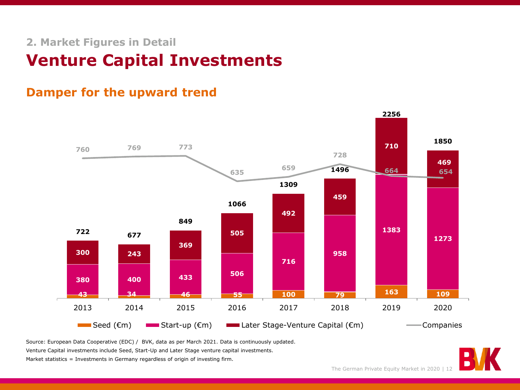# **Venture Capital Investments**

## **Damper for the upward trend**



Source: European Data Cooperative (EDC) / BVK, data as per March 2021. Data is continuously updated.

Venture Capital investments include Seed, Start-Up and Later Stage venture capital investments.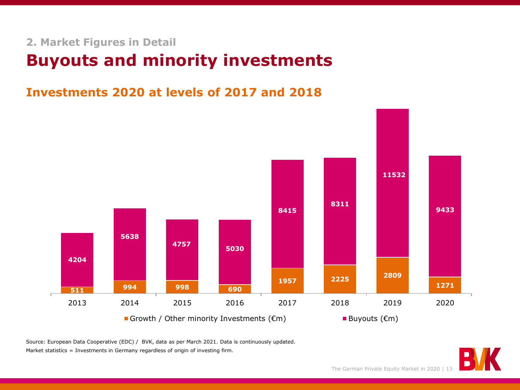# **Buyouts and minority investments**

### **Investments 2020 at levels of 2017 and 2018**



Source: European Data Cooperative (EDC) / BVK, data as per March 2021. Data is continuously updated. Market statistics = Investments in Germany regardless of origin of investing firm.

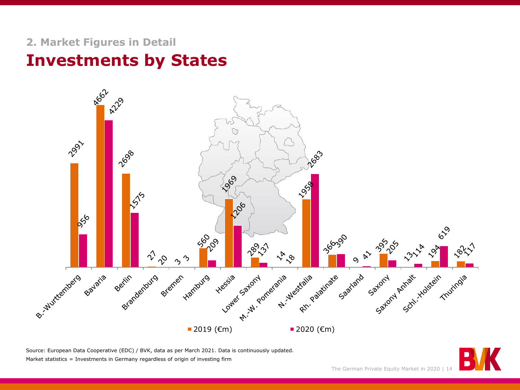## **2. Market Figures in Detail Investments by States**



Source: European Data Cooperative (EDC) / BVK, data as per March 2021. Data is continuously updated.

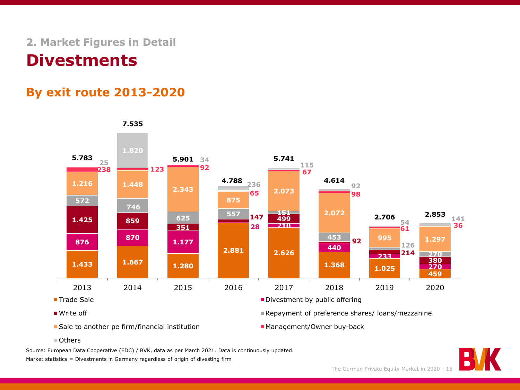# **Divestments**

### **By exit route 2013-2020**



 $\blacksquare$  Sale to another pe firm/financial institution  $\blacksquare$  Management/Owner buy-back

■ Others

Source: European Data Cooperative (EDC) / BVK, data as per March 2021. Data is continuously updated.